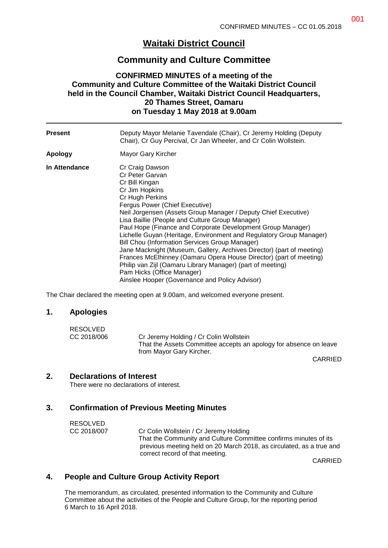# **Waitaki District Council**

## **Community and Culture Committee**

### **CONFIRMED MINUTES of a meeting of the Community and Culture Committee of the Waitaki District Council held in the Council Chamber, Waitaki District Council Headquarters, 20 Thames Street, Oamaru on Tuesday 1 May 2018 at 9.00am**

| <b>Present</b> | Deputy Mayor Melanie Tavendale (Chair), Cr Jeremy Holding (Deputy<br>Chair), Cr Guy Percival, Cr Jan Wheeler, and Cr Colin Wollstein.                                                                                                                                                                                                                                                                                                                                                                                                                                                                                                                                                                                                 |
|----------------|---------------------------------------------------------------------------------------------------------------------------------------------------------------------------------------------------------------------------------------------------------------------------------------------------------------------------------------------------------------------------------------------------------------------------------------------------------------------------------------------------------------------------------------------------------------------------------------------------------------------------------------------------------------------------------------------------------------------------------------|
| Apology        | Mayor Gary Kircher                                                                                                                                                                                                                                                                                                                                                                                                                                                                                                                                                                                                                                                                                                                    |
| In Attendance  | Cr Craig Dawson<br>Cr Peter Garvan<br>Cr Bill Kingan<br>Cr Jim Hopkins<br>Cr Hugh Perkins<br>Fergus Power (Chief Executive)<br>Neil Jorgensen (Assets Group Manager / Deputy Chief Executive)<br>Lisa Baillie (People and Culture Group Manager)<br>Paul Hope (Finance and Corporate Development Group Manager)<br>Lichelle Guyan (Heritage, Environment and Regulatory Group Manager)<br>Bill Chou (Information Services Group Manager)<br>Jane Macknight (Museum, Gallery, Archives Director) (part of meeting)<br>Frances McElhinney (Oamaru Opera House Director) (part of meeting)<br>Philip van Zijl (Oamaru Library Manager) (part of meeting)<br>Pam Hicks (Office Manager)<br>Ainslee Hooper (Governance and Policy Advisor) |

The Chair declared the meeting open at 9.00am, and welcomed everyone present.

#### **1. Apologies**

| <b>RESOLVED</b> |                                                                   |
|-----------------|-------------------------------------------------------------------|
| CC 2018/006     | Cr Jeremy Holding / Cr Colin Wollstein                            |
|                 | That the Assets Committee accepts an apology for absence on leave |
|                 | from Mayor Gary Kircher.                                          |

CARRIED

#### **2. Declarations of Interest**

There were no declarations of interest.

### **3. Confirmation of Previous Meeting Minutes**

RESOLVED CC 2018/007 Cr Colin Wollstein / Cr Jeremy Holding That the Community and Culture Committee confirms minutes of its previous meeting held on 20 March 2018, as circulated, as a true and correct record of that meeting.

CARRIED

## **4. People and Culture Group Activity Report**

The memorandum, as circulated, presented information to the Community and Culture Committee about the activities of the People and Culture Group, for the reporting period 6 March to 16 April 2018.